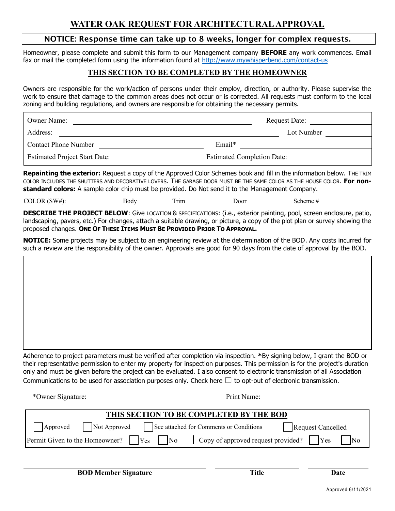## **WATER OAK REQUEST FOR ARCHITECTURAL APPROVAL**

#### NOTICE: Response time can take up to 8 weeks, longer for complex requests.

Homeowner, please complete and submit this form to our Management company **BEFORE** any work commences. Email fax or mail the completed form using the information found at<http://www.mywhisperbend.com/contact-us>

#### **THIS SECTION TO BE COMPLETED BY THE HOMEOWNER**

Owners are responsible for the work/action of persons under their employ, direction, or authority. Please supervise the work to ensure that damage to the common areas does not occur or is corrected. All requests must conform to the local zoning and building regulations, and owners are responsible for obtaining the necessary permits.

| Owner Name:                          | <b>Request Date:</b>              |
|--------------------------------------|-----------------------------------|
| Address:                             | Lot Number                        |
| <b>Contact Phone Number</b>          | $Email*$                          |
| <b>Estimated Project Start Date:</b> | <b>Estimated Completion Date:</b> |

**Repainting the exterior:** Request a copy of the Approved Color Schemes book and fill in the information below. THE TRIM COLOR INCLUDES THE SHUTTERS AND DECORATIVE LOVERS. THE GARAGE DOOR MUST BE THE SAME COLOR AS THE HOUSE COLOR. **For nonstandard colors:** A sample color chip must be provided. Do Not send it to the Management Company.

COLOR (SW#): Body Trim Door Scheme #

**DESCRIBE THE PROJECT BELOW**: Give LOCATION & SPECIFICATIONS: (i.e., exterior painting, pool, screen enclosure, patio, landscaping, pavers, etc.) For changes, attach a suitable drawing, or picture, a copy of the plot plan or survey showing the proposed changes. **ONE OF THESE ITEMS MUST BE PROVIDED PRIOR TO APPROVAL.**

**NOTICE:** Some projects may be subject to an engineering review at the determination of the BOD. Any costs incurred for such a review are the responsibility of the owner. Approvals are good for 90 days from the date of approval by the BOD.

Adherence to project parameters must be verified after completion via inspection. **\***By signing below, I grant the BOD or their representative permission to enter my property for inspection purposes. This permission is for the project's duration only and must be given before the project can be evaluated. I also consent to electronic transmission of all Association Communications to be used for association purposes only. Check here  $\Box$  to opt-out of electronic transmission.

\*Owner Signature: Print Name:

| THIS SECTION TO BE COMPLETED BY THE BOD                                               |  |
|---------------------------------------------------------------------------------------|--|
| Not Approved See attached for Comments or Conditions<br>Request Cancelled<br>Approved |  |
|                                                                                       |  |